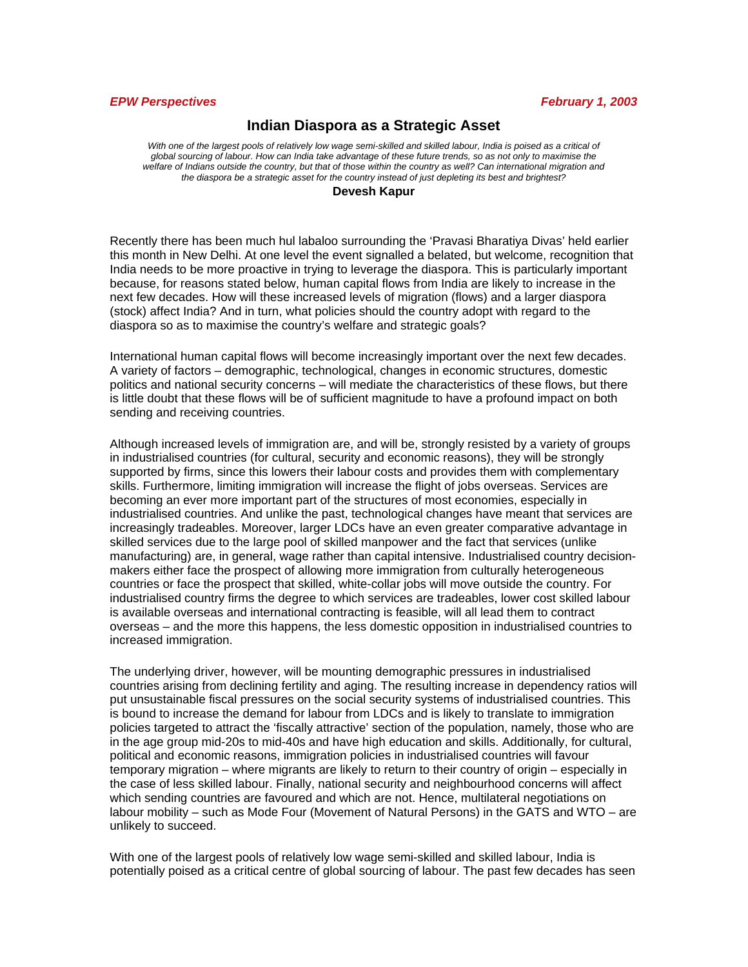#### *EPW Perspectives February 1, 2003*

# **Indian Diaspora as a Strategic Asset**

With one of the largest pools of relatively low wage semi-skilled and skilled labour, India is poised as a critical of *global sourcing of labour. How can India take advantage of these future trends, so as not only to maximise the welfare of Indians outside the country, but that of those within the country as well? Can international migration and the diaspora be a strategic asset for the country instead of just depleting its best and brightest?* 

#### **Devesh Kapur**

Recently there has been much hul labaloo surrounding the 'Pravasi Bharatiya Divas' held earlier this month in New Delhi. At one level the event signalled a belated, but welcome, recognition that India needs to be more proactive in trying to leverage the diaspora. This is particularly important because, for reasons stated below, human capital flows from India are likely to increase in the next few decades. How will these increased levels of migration (flows) and a larger diaspora (stock) affect India? And in turn, what policies should the country adopt with regard to the diaspora so as to maximise the country's welfare and strategic goals?

International human capital flows will become increasingly important over the next few decades. A variety of factors – demographic, technological, changes in economic structures, domestic politics and national security concerns – will mediate the characteristics of these flows, but there is little doubt that these flows will be of sufficient magnitude to have a profound impact on both sending and receiving countries.

Although increased levels of immigration are, and will be, strongly resisted by a variety of groups in industrialised countries (for cultural, security and economic reasons), they will be strongly supported by firms, since this lowers their labour costs and provides them with complementary skills. Furthermore, limiting immigration will increase the flight of jobs overseas. Services are becoming an ever more important part of the structures of most economies, especially in industrialised countries. And unlike the past, technological changes have meant that services are increasingly tradeables. Moreover, larger LDCs have an even greater comparative advantage in skilled services due to the large pool of skilled manpower and the fact that services (unlike manufacturing) are, in general, wage rather than capital intensive. Industrialised country decisionmakers either face the prospect of allowing more immigration from culturally heterogeneous countries or face the prospect that skilled, white-collar jobs will move outside the country. For industrialised country firms the degree to which services are tradeables, lower cost skilled labour is available overseas and international contracting is feasible, will all lead them to contract overseas – and the more this happens, the less domestic opposition in industrialised countries to increased immigration.

The underlying driver, however, will be mounting demographic pressures in industrialised countries arising from declining fertility and aging. The resulting increase in dependency ratios will put unsustainable fiscal pressures on the social security systems of industrialised countries. This is bound to increase the demand for labour from LDCs and is likely to translate to immigration policies targeted to attract the 'fiscally attractive' section of the population, namely, those who are in the age group mid-20s to mid-40s and have high education and skills. Additionally, for cultural, political and economic reasons, immigration policies in industrialised countries will favour temporary migration – where migrants are likely to return to their country of origin – especially in the case of less skilled labour. Finally, national security and neighbourhood concerns will affect which sending countries are favoured and which are not. Hence, multilateral negotiations on labour mobility – such as Mode Four (Movement of Natural Persons) in the GATS and WTO – are unlikely to succeed.

With one of the largest pools of relatively low wage semi-skilled and skilled labour, India is potentially poised as a critical centre of global sourcing of labour. The past few decades has seen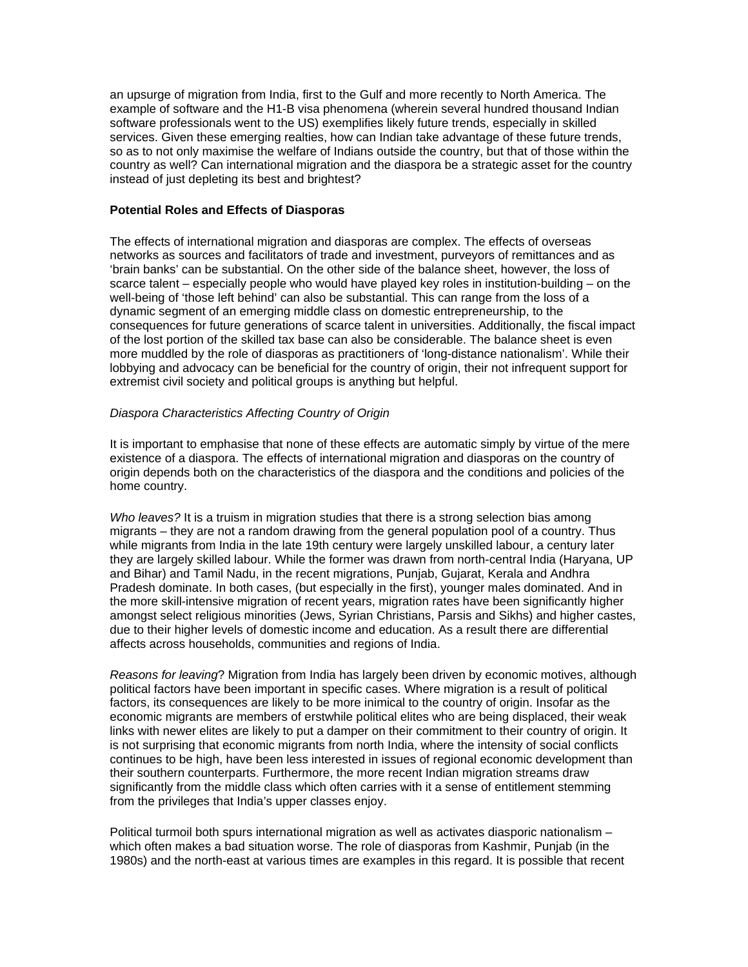an upsurge of migration from India, first to the Gulf and more recently to North America. The example of software and the H1-B visa phenomena (wherein several hundred thousand Indian software professionals went to the US) exemplifies likely future trends, especially in skilled services. Given these emerging realties, how can Indian take advantage of these future trends, so as to not only maximise the welfare of Indians outside the country, but that of those within the country as well? Can international migration and the diaspora be a strategic asset for the country instead of just depleting its best and brightest?

#### **Potential Roles and Effects of Diasporas**

The effects of international migration and diasporas are complex. The effects of overseas networks as sources and facilitators of trade and investment, purveyors of remittances and as 'brain banks' can be substantial. On the other side of the balance sheet, however, the loss of scarce talent – especially people who would have played key roles in institution-building – on the well-being of 'those left behind' can also be substantial. This can range from the loss of a dynamic segment of an emerging middle class on domestic entrepreneurship, to the consequences for future generations of scarce talent in universities. Additionally, the fiscal impact of the lost portion of the skilled tax base can also be considerable. The balance sheet is even more muddled by the role of diasporas as practitioners of 'long-distance nationalism'. While their lobbying and advocacy can be beneficial for the country of origin, their not infrequent support for extremist civil society and political groups is anything but helpful.

## *Diaspora Characteristics Affecting Country of Origin*

It is important to emphasise that none of these effects are automatic simply by virtue of the mere existence of a diaspora. The effects of international migration and diasporas on the country of origin depends both on the characteristics of the diaspora and the conditions and policies of the home country.

*Who leaves?* It is a truism in migration studies that there is a strong selection bias among migrants – they are not a random drawing from the general population pool of a country. Thus while migrants from India in the late 19th century were largely unskilled labour, a century later they are largely skilled labour. While the former was drawn from north-central India (Haryana, UP and Bihar) and Tamil Nadu, in the recent migrations, Punjab, Gujarat, Kerala and Andhra Pradesh dominate. In both cases, (but especially in the first), younger males dominated. And in the more skill-intensive migration of recent years, migration rates have been significantly higher amongst select religious minorities (Jews, Syrian Christians, Parsis and Sikhs) and higher castes, due to their higher levels of domestic income and education. As a result there are differential affects across households, communities and regions of India.

*Reasons for leaving*? Migration from India has largely been driven by economic motives, although political factors have been important in specific cases. Where migration is a result of political factors, its consequences are likely to be more inimical to the country of origin. Insofar as the economic migrants are members of erstwhile political elites who are being displaced, their weak links with newer elites are likely to put a damper on their commitment to their country of origin. It is not surprising that economic migrants from north India, where the intensity of social conflicts continues to be high, have been less interested in issues of regional economic development than their southern counterparts. Furthermore, the more recent Indian migration streams draw significantly from the middle class which often carries with it a sense of entitlement stemming from the privileges that India's upper classes enjoy.

Political turmoil both spurs international migration as well as activates diasporic nationalism – which often makes a bad situation worse. The role of diasporas from Kashmir, Punjab (in the 1980s) and the north-east at various times are examples in this regard. It is possible that recent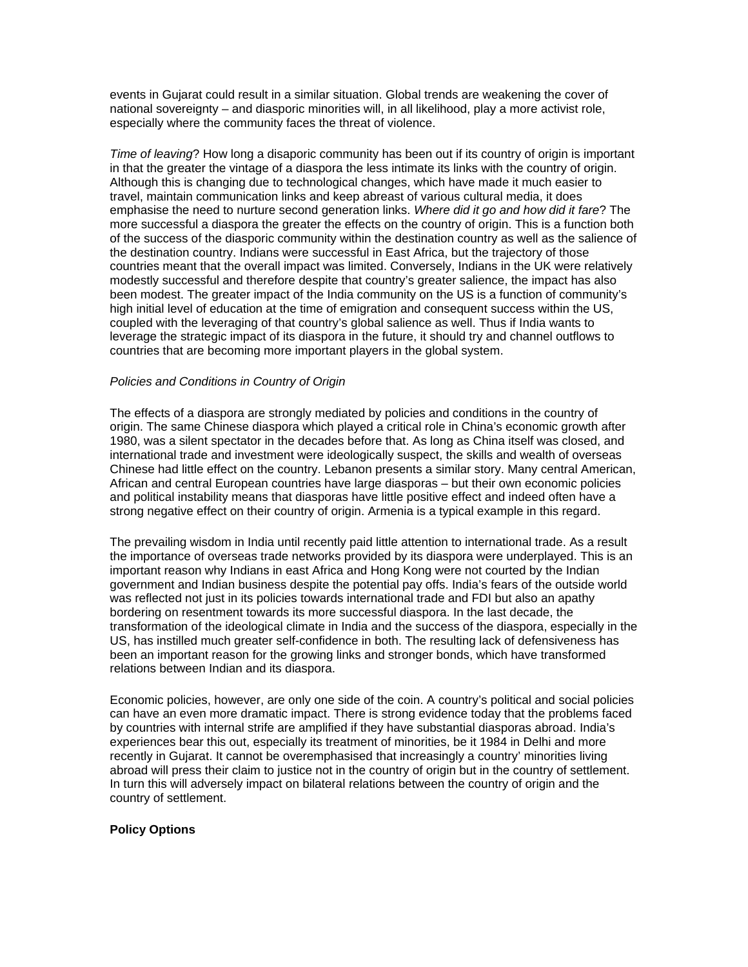events in Gujarat could result in a similar situation. Global trends are weakening the cover of national sovereignty – and diasporic minorities will, in all likelihood, play a more activist role, especially where the community faces the threat of violence.

*Time of leaving*? How long a disaporic community has been out if its country of origin is important in that the greater the vintage of a diaspora the less intimate its links with the country of origin. Although this is changing due to technological changes, which have made it much easier to travel, maintain communication links and keep abreast of various cultural media, it does emphasise the need to nurture second generation links. *Where did it go and how did it fare*? The more successful a diaspora the greater the effects on the country of origin. This is a function both of the success of the diasporic community within the destination country as well as the salience of the destination country. Indians were successful in East Africa, but the trajectory of those countries meant that the overall impact was limited. Conversely, Indians in the UK were relatively modestly successful and therefore despite that country's greater salience, the impact has also been modest. The greater impact of the India community on the US is a function of community's high initial level of education at the time of emigration and consequent success within the US, coupled with the leveraging of that country's global salience as well. Thus if India wants to leverage the strategic impact of its diaspora in the future, it should try and channel outflows to countries that are becoming more important players in the global system.

## *Policies and Conditions in Country of Origin*

The effects of a diaspora are strongly mediated by policies and conditions in the country of origin. The same Chinese diaspora which played a critical role in China's economic growth after 1980, was a silent spectator in the decades before that. As long as China itself was closed, and international trade and investment were ideologically suspect, the skills and wealth of overseas Chinese had little effect on the country. Lebanon presents a similar story. Many central American, African and central European countries have large diasporas – but their own economic policies and political instability means that diasporas have little positive effect and indeed often have a strong negative effect on their country of origin. Armenia is a typical example in this regard.

The prevailing wisdom in India until recently paid little attention to international trade. As a result the importance of overseas trade networks provided by its diaspora were underplayed. This is an important reason why Indians in east Africa and Hong Kong were not courted by the Indian government and Indian business despite the potential pay offs. India's fears of the outside world was reflected not just in its policies towards international trade and FDI but also an apathy bordering on resentment towards its more successful diaspora. In the last decade, the transformation of the ideological climate in India and the success of the diaspora, especially in the US, has instilled much greater self-confidence in both. The resulting lack of defensiveness has been an important reason for the growing links and stronger bonds, which have transformed relations between Indian and its diaspora.

Economic policies, however, are only one side of the coin. A country's political and social policies can have an even more dramatic impact. There is strong evidence today that the problems faced by countries with internal strife are amplified if they have substantial diasporas abroad. India's experiences bear this out, especially its treatment of minorities, be it 1984 in Delhi and more recently in Gujarat. It cannot be overemphasised that increasingly a country' minorities living abroad will press their claim to justice not in the country of origin but in the country of settlement. In turn this will adversely impact on bilateral relations between the country of origin and the country of settlement.

## **Policy Options**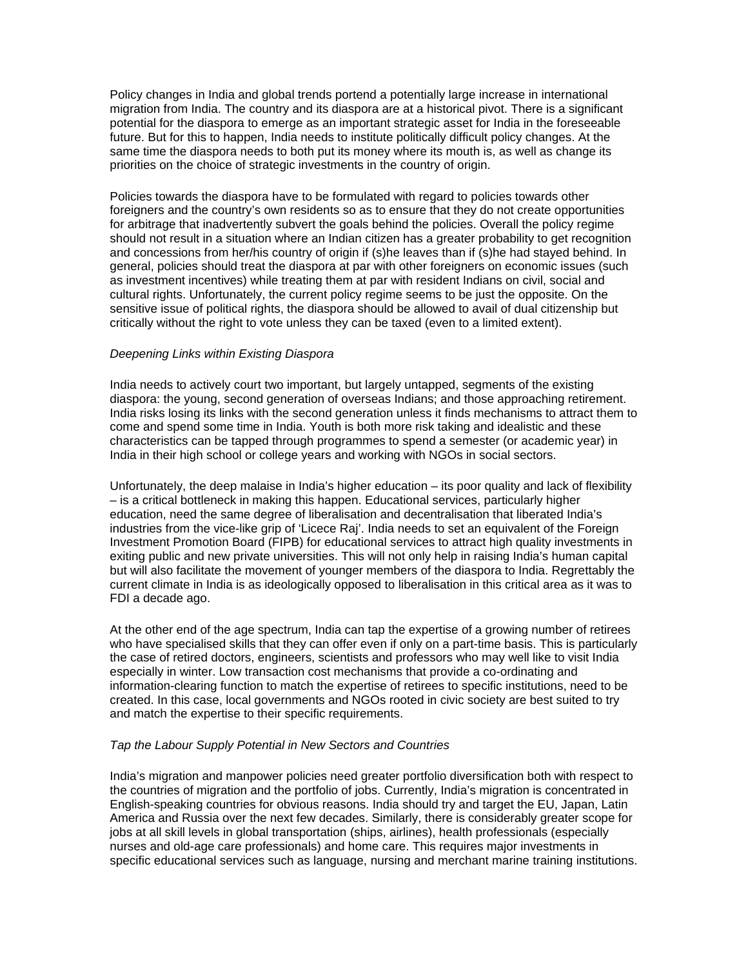Policy changes in India and global trends portend a potentially large increase in international migration from India. The country and its diaspora are at a historical pivot. There is a significant potential for the diaspora to emerge as an important strategic asset for India in the foreseeable future. But for this to happen, India needs to institute politically difficult policy changes. At the same time the diaspora needs to both put its money where its mouth is, as well as change its priorities on the choice of strategic investments in the country of origin.

Policies towards the diaspora have to be formulated with regard to policies towards other foreigners and the country's own residents so as to ensure that they do not create opportunities for arbitrage that inadvertently subvert the goals behind the policies. Overall the policy regime should not result in a situation where an Indian citizen has a greater probability to get recognition and concessions from her/his country of origin if (s)he leaves than if (s)he had stayed behind. In general, policies should treat the diaspora at par with other foreigners on economic issues (such as investment incentives) while treating them at par with resident Indians on civil, social and cultural rights. Unfortunately, the current policy regime seems to be just the opposite. On the sensitive issue of political rights, the diaspora should be allowed to avail of dual citizenship but critically without the right to vote unless they can be taxed (even to a limited extent).

#### *Deepening Links within Existing Diaspora*

India needs to actively court two important, but largely untapped, segments of the existing diaspora: the young, second generation of overseas Indians; and those approaching retirement. India risks losing its links with the second generation unless it finds mechanisms to attract them to come and spend some time in India. Youth is both more risk taking and idealistic and these characteristics can be tapped through programmes to spend a semester (or academic year) in India in their high school or college years and working with NGOs in social sectors.

Unfortunately, the deep malaise in India's higher education – its poor quality and lack of flexibility – is a critical bottleneck in making this happen. Educational services, particularly higher education, need the same degree of liberalisation and decentralisation that liberated India's industries from the vice-like grip of 'Licece Raj'. India needs to set an equivalent of the Foreign Investment Promotion Board (FIPB) for educational services to attract high quality investments in exiting public and new private universities. This will not only help in raising India's human capital but will also facilitate the movement of younger members of the diaspora to India. Regrettably the current climate in India is as ideologically opposed to liberalisation in this critical area as it was to FDI a decade ago.

At the other end of the age spectrum, India can tap the expertise of a growing number of retirees who have specialised skills that they can offer even if only on a part-time basis. This is particularly the case of retired doctors, engineers, scientists and professors who may well like to visit India especially in winter. Low transaction cost mechanisms that provide a co-ordinating and information-clearing function to match the expertise of retirees to specific institutions, need to be created. In this case, local governments and NGOs rooted in civic society are best suited to try and match the expertise to their specific requirements.

#### *Tap the Labour Supply Potential in New Sectors and Countries*

India's migration and manpower policies need greater portfolio diversification both with respect to the countries of migration and the portfolio of jobs. Currently, India's migration is concentrated in English-speaking countries for obvious reasons. India should try and target the EU, Japan, Latin America and Russia over the next few decades. Similarly, there is considerably greater scope for jobs at all skill levels in global transportation (ships, airlines), health professionals (especially nurses and old-age care professionals) and home care. This requires major investments in specific educational services such as language, nursing and merchant marine training institutions.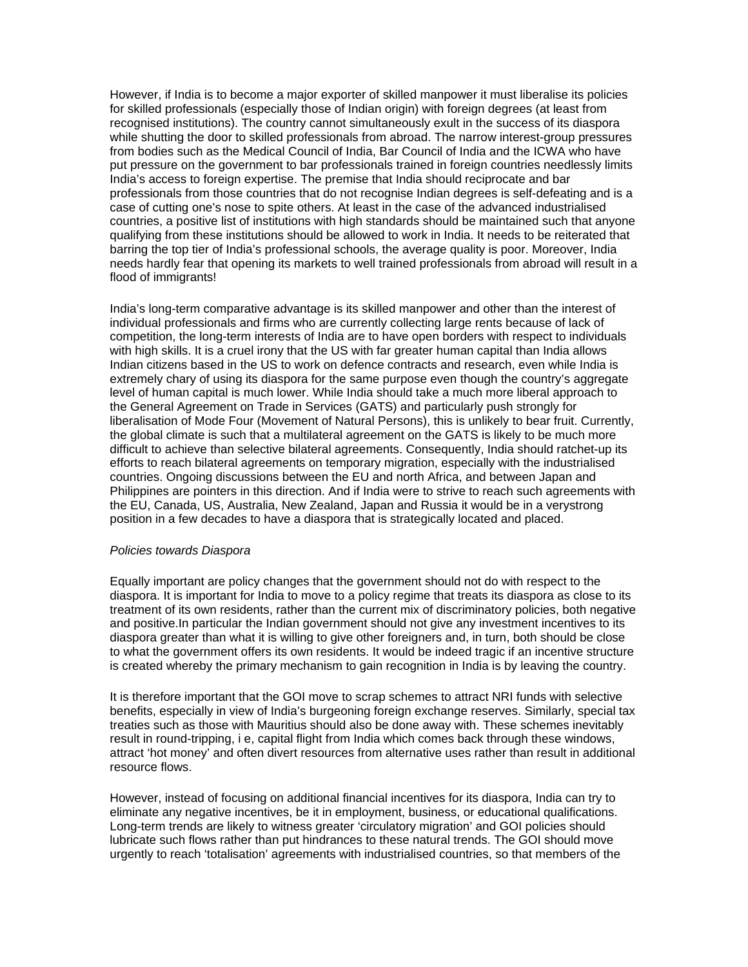However, if India is to become a major exporter of skilled manpower it must liberalise its policies for skilled professionals (especially those of Indian origin) with foreign degrees (at least from recognised institutions). The country cannot simultaneously exult in the success of its diaspora while shutting the door to skilled professionals from abroad. The narrow interest-group pressures from bodies such as the Medical Council of India, Bar Council of India and the ICWA who have put pressure on the government to bar professionals trained in foreign countries needlessly limits India's access to foreign expertise. The premise that India should reciprocate and bar professionals from those countries that do not recognise Indian degrees is self-defeating and is a case of cutting one's nose to spite others. At least in the case of the advanced industrialised countries, a positive list of institutions with high standards should be maintained such that anyone qualifying from these institutions should be allowed to work in India. It needs to be reiterated that barring the top tier of India's professional schools, the average quality is poor. Moreover, India needs hardly fear that opening its markets to well trained professionals from abroad will result in a flood of immigrants!

India's long-term comparative advantage is its skilled manpower and other than the interest of individual professionals and firms who are currently collecting large rents because of lack of competition, the long-term interests of India are to have open borders with respect to individuals with high skills. It is a cruel irony that the US with far greater human capital than India allows Indian citizens based in the US to work on defence contracts and research, even while India is extremely chary of using its diaspora for the same purpose even though the country's aggregate level of human capital is much lower. While India should take a much more liberal approach to the General Agreement on Trade in Services (GATS) and particularly push strongly for liberalisation of Mode Four (Movement of Natural Persons), this is unlikely to bear fruit. Currently, the global climate is such that a multilateral agreement on the GATS is likely to be much more difficult to achieve than selective bilateral agreements. Consequently, India should ratchet-up its efforts to reach bilateral agreements on temporary migration, especially with the industrialised countries. Ongoing discussions between the EU and north Africa, and between Japan and Philippines are pointers in this direction. And if India were to strive to reach such agreements with the EU, Canada, US, Australia, New Zealand, Japan and Russia it would be in a verystrong position in a few decades to have a diaspora that is strategically located and placed.

## *Policies towards Diaspora*

Equally important are policy changes that the government should not do with respect to the diaspora. It is important for India to move to a policy regime that treats its diaspora as close to its treatment of its own residents, rather than the current mix of discriminatory policies, both negative and positive.In particular the Indian government should not give any investment incentives to its diaspora greater than what it is willing to give other foreigners and, in turn, both should be close to what the government offers its own residents. It would be indeed tragic if an incentive structure is created whereby the primary mechanism to gain recognition in India is by leaving the country.

It is therefore important that the GOI move to scrap schemes to attract NRI funds with selective benefits, especially in view of India's burgeoning foreign exchange reserves. Similarly, special tax treaties such as those with Mauritius should also be done away with. These schemes inevitably result in round-tripping, i e, capital flight from India which comes back through these windows, attract 'hot money' and often divert resources from alternative uses rather than result in additional resource flows.

However, instead of focusing on additional financial incentives for its diaspora, India can try to eliminate any negative incentives, be it in employment, business, or educational qualifications. Long-term trends are likely to witness greater 'circulatory migration' and GOI policies should lubricate such flows rather than put hindrances to these natural trends. The GOI should move urgently to reach 'totalisation' agreements with industrialised countries, so that members of the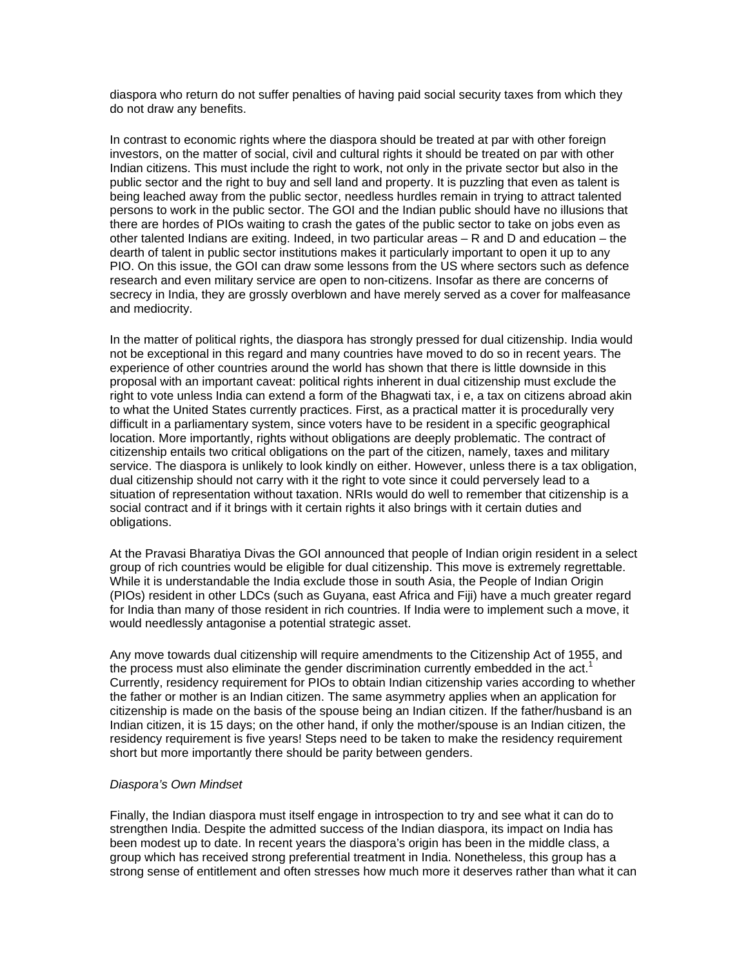diaspora who return do not suffer penalties of having paid social security taxes from which they do not draw any benefits.

In contrast to economic rights where the diaspora should be treated at par with other foreign investors, on the matter of social, civil and cultural rights it should be treated on par with other Indian citizens. This must include the right to work, not only in the private sector but also in the public sector and the right to buy and sell land and property. It is puzzling that even as talent is being leached away from the public sector, needless hurdles remain in trying to attract talented persons to work in the public sector. The GOI and the Indian public should have no illusions that there are hordes of PIOs waiting to crash the gates of the public sector to take on jobs even as other talented Indians are exiting. Indeed, in two particular areas – R and D and education – the dearth of talent in public sector institutions makes it particularly important to open it up to any PIO. On this issue, the GOI can draw some lessons from the US where sectors such as defence research and even military service are open to non-citizens. Insofar as there are concerns of secrecy in India, they are grossly overblown and have merely served as a cover for malfeasance and mediocrity.

In the matter of political rights, the diaspora has strongly pressed for dual citizenship. India would not be exceptional in this regard and many countries have moved to do so in recent years. The experience of other countries around the world has shown that there is little downside in this proposal with an important caveat: political rights inherent in dual citizenship must exclude the right to vote unless India can extend a form of the Bhagwati tax, i e, a tax on citizens abroad akin to what the United States currently practices. First, as a practical matter it is procedurally very difficult in a parliamentary system, since voters have to be resident in a specific geographical location. More importantly, rights without obligations are deeply problematic. The contract of citizenship entails two critical obligations on the part of the citizen, namely, taxes and military service. The diaspora is unlikely to look kindly on either. However, unless there is a tax obligation, dual citizenship should not carry with it the right to vote since it could perversely lead to a situation of representation without taxation. NRIs would do well to remember that citizenship is a social contract and if it brings with it certain rights it also brings with it certain duties and obligations.

At the Pravasi Bharatiya Divas the GOI announced that people of Indian origin resident in a select group of rich countries would be eligible for dual citizenship. This move is extremely regrettable. While it is understandable the India exclude those in south Asia, the People of Indian Origin (PIOs) resident in other LDCs (such as Guyana, east Africa and Fiji) have a much greater regard for India than many of those resident in rich countries. If India were to implement such a move, it would needlessly antagonise a potential strategic asset.

Any move towards dual citizenship will require amendments to the Citizenship Act of 1955, and the process must also eliminate the gender discrimination currently embedded in the act.<sup>1</sup> Currently, residency requirement for PIOs to obtain Indian citizenship varies according to whether the father or mother is an Indian citizen. The same asymmetry applies when an application for citizenship is made on the basis of the spouse being an Indian citizen. If the father/husband is an Indian citizen, it is 15 days; on the other hand, if only the mother/spouse is an Indian citizen, the residency requirement is five years! Steps need to be taken to make the residency requirement short but more importantly there should be parity between genders.

## *Diaspora's Own Mindset*

Finally, the Indian diaspora must itself engage in introspection to try and see what it can do to strengthen India. Despite the admitted success of the Indian diaspora, its impact on India has been modest up to date. In recent years the diaspora's origin has been in the middle class, a group which has received strong preferential treatment in India. Nonetheless, this group has a strong sense of entitlement and often stresses how much more it deserves rather than what it can